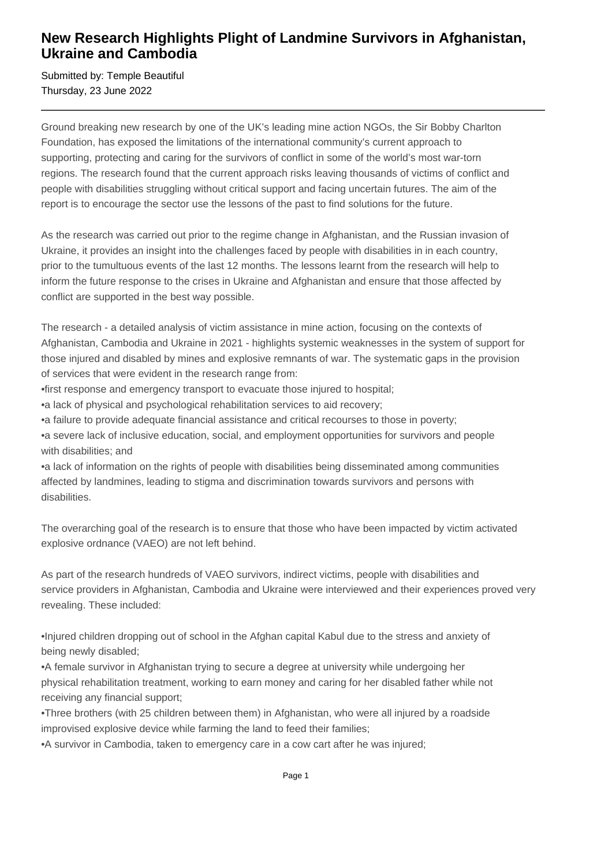## **New Research Highlights Plight of Landmine Survivors in Afghanistan, Ukraine and Cambodia**

Submitted by: Temple Beautiful Thursday, 23 June 2022

Ground breaking new research by one of the UK's leading mine action NGOs, the Sir Bobby Charlton Foundation, has exposed the limitations of the international community's current approach to supporting, protecting and caring for the survivors of conflict in some of the world's most war-torn regions. The research found that the current approach risks leaving thousands of victims of conflict and people with disabilities struggling without critical support and facing uncertain futures. The aim of the report is to encourage the sector use the lessons of the past to find solutions for the future.

As the research was carried out prior to the regime change in Afghanistan, and the Russian invasion of Ukraine, it provides an insight into the challenges faced by people with disabilities in in each country, prior to the tumultuous events of the last 12 months. The lessons learnt from the research will help to inform the future response to the crises in Ukraine and Afghanistan and ensure that those affected by conflict are supported in the best way possible.

The research - a detailed analysis of victim assistance in mine action, focusing on the contexts of Afghanistan, Cambodia and Ukraine in 2021 - highlights systemic weaknesses in the system of support for those injured and disabled by mines and explosive remnants of war. The systematic gaps in the provision of services that were evident in the research range from:

- first response and emergency transport to evacuate those injured to hospital:
- a lack of physical and psychological rehabilitation services to aid recovery;
- • a failure to provide adequate financial assistance and critical recourses to those in poverty;
- a severe lack of inclusive education, social, and employment opportunities for survivors and people with disabilities; and

• a lack of information on the rights of people with disabilities being disseminated among communities affected by landmines, leading to stigma and discrimination towards survivors and persons with disabilities.

The overarching goal of the research is to ensure that those who have been impacted by victim activated explosive ordnance (VAEO) are not left behind.

As part of the research hundreds of VAEO survivors, indirect victims, people with disabilities and service providers in Afghanistan, Cambodia and Ukraine were interviewed and their experiences proved very revealing. These included:

• Injured children dropping out of school in the Afghan capital Kabul due to the stress and anxiety of being newly disabled;

• A female survivor in Afghanistan trying to secure a degree at university while undergoing her physical rehabilitation treatment, working to earn money and caring for her disabled father while not receiving any financial support;

• Three brothers (with 25 children between them) in Afghanistan, who were all injured by a roadside improvised explosive device while farming the land to feed their families;

• A survivor in Cambodia, taken to emergency care in a cow cart after he was injured;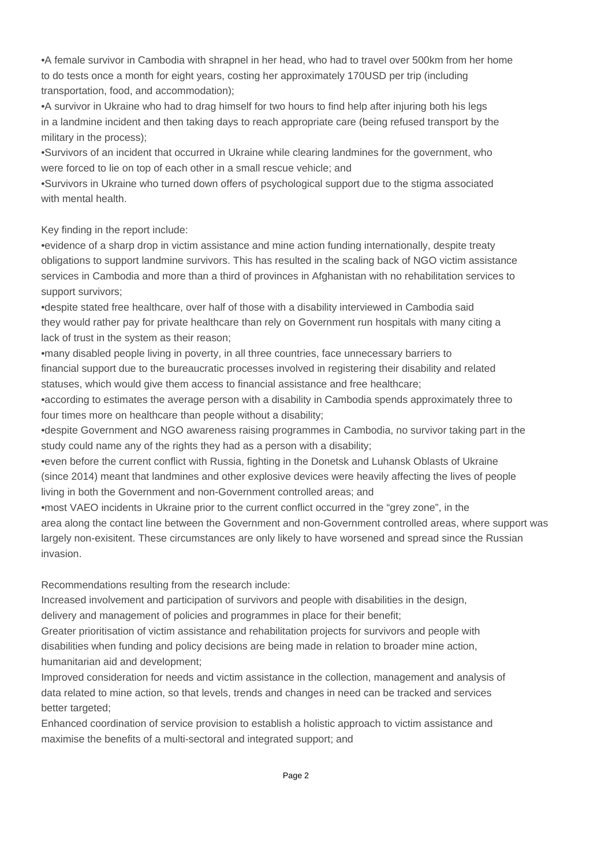• A female survivor in Cambodia with shrapnel in her head, who had to travel over 500km from her home to do tests once a month for eight years, costing her approximately 170USD per trip (including transportation, food, and accommodation);

• A survivor in Ukraine who had to drag himself for two hours to find help after injuring both his legs in a landmine incident and then taking days to reach appropriate care (being refused transport by the military in the process);

• Survivors of an incident that occurred in Ukraine while clearing landmines for the government, who were forced to lie on top of each other in a small rescue vehicle; and

• Survivors in Ukraine who turned down offers of psychological support due to the stigma associated with mental health.

Key finding in the report include:

• evidence of a sharp drop in victim assistance and mine action funding internationally, despite treaty obligations to support landmine survivors. This has resulted in the scaling back of NGO victim assistance services in Cambodia and more than a third of provinces in Afghanistan with no rehabilitation services to support survivors;

• despite stated free healthcare, over half of those with a disability interviewed in Cambodia said they would rather pay for private healthcare than rely on Government run hospitals with many citing a lack of trust in the system as their reason;

• many disabled people living in poverty, in all three countries, face unnecessary barriers to financial support due to the bureaucratic processes involved in registering their disability and related statuses, which would give them access to financial assistance and free healthcare;

• according to estimates the average person with a disability in Cambodia spends approximately three to four times more on healthcare than people without a disability;

• despite Government and NGO awareness raising programmes in Cambodia, no survivor taking part in the study could name any of the rights they had as a person with a disability;

• even before the current conflict with Russia, fighting in the Donetsk and Luhansk Oblasts of Ukraine (since 2014) meant that landmines and other explosive devices were heavily affecting the lives of people living in both the Government and non-Government controlled areas; and

• most VAEO incidents in Ukraine prior to the current conflict occurred in the "grey zone", in the area along the contact line between the Government and non-Government controlled areas, where support was largely non-exisitent. These circumstances are only likely to have worsened and spread since the Russian invasion.

Recommendations resulting from the research include:

 Increased involvement and participation of survivors and people with disabilities in the design, delivery and management of policies and programmes in place for their benefit;

 Greater prioritisation of victim assistance and rehabilitation projects for survivors and people with disabilities when funding and policy decisions are being made in relation to broader mine action, humanitarian aid and development;

 Improved consideration for needs and victim assistance in the collection, management and analysis of data related to mine action, so that levels, trends and changes in need can be tracked and services better targeted;

 Enhanced coordination of service provision to establish a holistic approach to victim assistance and maximise the benefits of a multi-sectoral and integrated support; and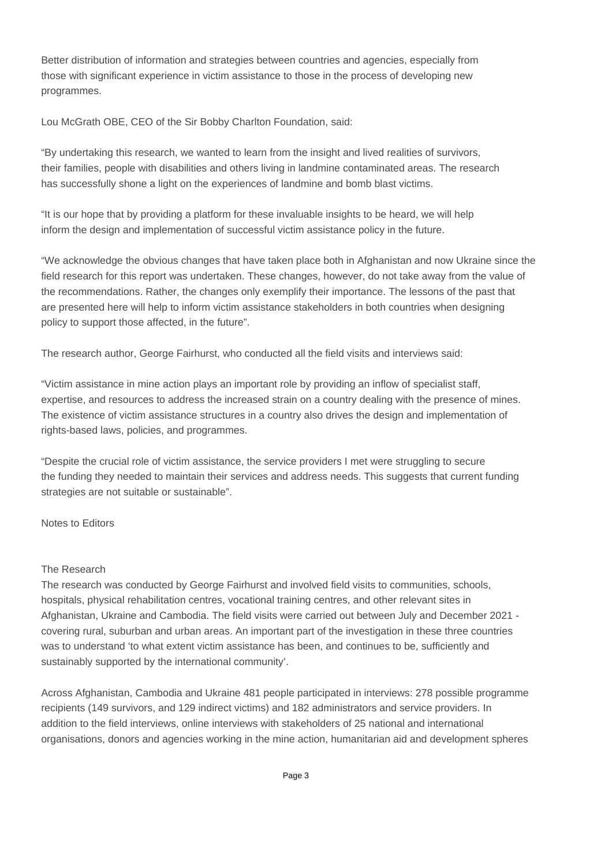Better distribution of information and strategies between countries and agencies, especially from those with significant experience in victim assistance to those in the process of developing new programmes.

Lou McGrath OBE, CEO of the Sir Bobby Charlton Foundation, said:

"By undertaking this research, we wanted to learn from the insight and lived realities of survivors, their families, people with disabilities and others living in landmine contaminated areas. The research has successfully shone a light on the experiences of landmine and bomb blast victims.

"It is our hope that by providing a platform for these invaluable insights to be heard, we will help inform the design and implementation of successful victim assistance policy in the future.

"We acknowledge the obvious changes that have taken place both in Afghanistan and now Ukraine since the field research for this report was undertaken. These changes, however, do not take away from the value of the recommendations. Rather, the changes only exemplify their importance. The lessons of the past that are presented here will help to inform victim assistance stakeholders in both countries when designing policy to support those affected, in the future".

The research author, George Fairhurst, who conducted all the field visits and interviews said:

"Victim assistance in mine action plays an important role by providing an inflow of specialist staff, expertise, and resources to address the increased strain on a country dealing with the presence of mines. The existence of victim assistance structures in a country also drives the design and implementation of rights-based laws, policies, and programmes.

"Despite the crucial role of victim assistance, the service providers I met were struggling to secure the funding they needed to maintain their services and address needs. This suggests that current funding strategies are not suitable or sustainable".

Notes to Editors

## The Research

The research was conducted by George Fairhurst and involved field visits to communities, schools, hospitals, physical rehabilitation centres, vocational training centres, and other relevant sites in Afghanistan, Ukraine and Cambodia. The field visits were carried out between July and December 2021 covering rural, suburban and urban areas. An important part of the investigation in these three countries was to understand 'to what extent victim assistance has been, and continues to be, sufficiently and sustainably supported by the international community'.

Across Afghanistan, Cambodia and Ukraine 481 people participated in interviews: 278 possible programme recipients (149 survivors, and 129 indirect victims) and 182 administrators and service providers. In addition to the field interviews, online interviews with stakeholders of 25 national and international organisations, donors and agencies working in the mine action, humanitarian aid and development spheres